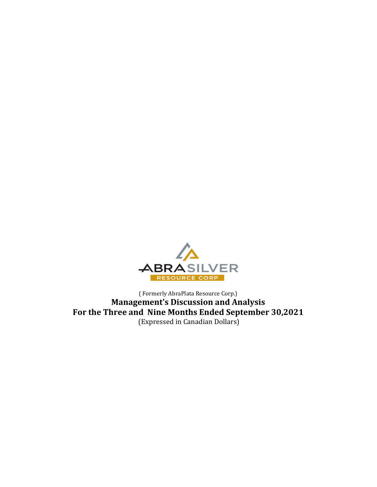

( Formerly AbraPlata Resource Corp.) Management's Discussion and Analysis For the Three and Nine Months Ended September 30,2021 (Expressed in Canadian Dollars)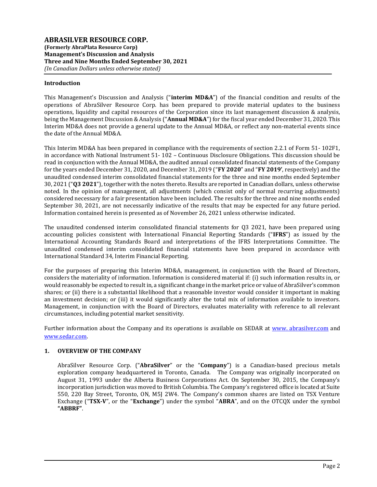# Introduction

This Management's Discussion and Analysis ("interim MD&A") of the financial condition and results of the operations of AbraSilver Resource Corp. has been prepared to provide material updates to the business operations, liquidity and capital resources of the Corporation since its last management discussion & analysis, being the Management Discussion & Analysis ("Annual MD&A") for the fiscal year ended December 31, 2020. This Interim MD&A does not provide a general update to the Annual MD&A, or reflect any non-material events since the date of the Annual MD&A.

This Interim MD&A has been prepared in compliance with the requirements of section 2.2.1 of Form 51- 102F1, in accordance with National Instrument 51- 102 – Continuous Disclosure Obligations. This discussion should be read in conjunction with the Annual MD&A, the audited annual consolidated financial statements of the Company for the years ended December 31, 2020, and December 31, 2019 ("FY 2020" and "FY 2019', respectively) and the unaudited condensed interim consolidated financial statements for the three and nine months ended September 30, 2021 ("Q3 2021"), together with the notes thereto. Results are reported in Canadian dollars, unless otherwise noted. In the opinion of management, all adjustments (which consist only of normal recurring adjustments) considered necessary for a fair presentation have been included. The results for the three and nine months ended September 30, 2021, are not necessarily indicative of the results that may be expected for any future period. Information contained herein is presented as of November 26, 2021 unless otherwise indicated.

The unaudited condensed interim consolidated financial statements for Q3 2021, have been prepared using accounting policies consistent with International Financial Reporting Standards ("IFRS") as issued by the International Accounting Standards Board and interpretations of the IFRS Interpretations Committee. The unaudited condensed interim consolidated financial statements have been prepared in accordance with International Standard 34, Interim Financial Reporting.

For the purposes of preparing this Interim MD&A, management, in conjunction with the Board of Directors, considers the materiality of information. Information is considered material if: (i) such information results in, or would reasonably be expected to result in, a significant change in the market price or value of AbraSilver's common shares; or (ii) there is a substantial likelihood that a reasonable investor would consider it important in making an investment decision; or (iii) it would significantly alter the total mix of information available to investors. Management, in conjunction with the Board of Directors, evaluates materiality with reference to all relevant circumstances, including potential market sensitivity.

Further information about the Company and its operations is available on SEDAR at www. abrasilver.com and www.sedar.com.

# 1. OVERVIEW OF THE COMPANY

AbraSilver Resource Corp. ("AbraSilver" or the "Company") is a Canadian-based precious metals exploration company headquartered in Toronto, Canada. The Company was originally incorporated on August 31, 1993 under the Alberta Business Corporations Act. On September 30, 2015, the Company's incorporation jurisdiction was moved to British Columbia. The Company's registered office is located at Suite 550, 220 Bay Street, Toronto, ON, M5J 2W4. The Company's common shares are listed on TSX Venture Exchange ("TSX-V", or the "Exchange") under the symbol "ABRA", and on the OTCQX under the symbol "ABBRF".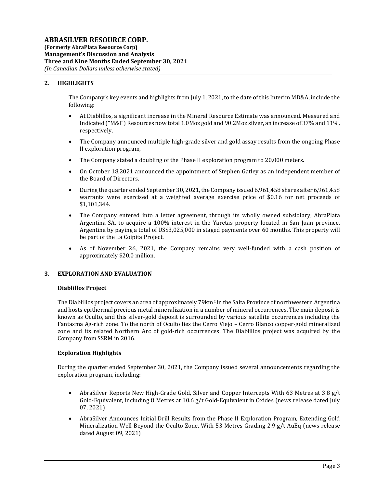# 2. HIGHLIGHTS

The Company's key events and highlights from July 1, 2021, to the date of this Interim MD&A, include the following:

- At Diablillos, a significant increase in the Mineral Resource Estimate was announced. Measured and Indicated ("M&I") Resources now total 1.0Moz gold and 90.2Moz silver, an increase of 37% and 11%, respectively.
- The Company announced multiple high-grade silver and gold assay results from the ongoing Phase II exploration program,
- The Company stated a doubling of the Phase II exploration program to 20,000 meters.
- On October 18,2021 announced the appointment of Stephen Gatley as an independent member of the Board of Directors.
- During the quarter ended September 30, 2021, the Company issued 6,961,458 shares after 6,961,458 warrants were exercised at a weighted average exercise price of \$0.16 for net proceeds of \$1,101,344.
- The Company entered into a letter agreement, through its wholly owned subsidiary, AbraPlata Argentina SA, to acquire a 100% interest in the Yaretas property located in San Juan province, Argentina by paying a total of US\$3,025,000 in staged payments over 60 months. This property will be part of the La Coipita Project.
- As of November 26, 2021, the Company remains very well-funded with a cash position of approximately \$20.0 million.

# 3. EXPLORATION AND EVALUATION

# Diablillos Project

The Diablillos project covers an area of approximately 79 km<sup>2</sup> in the Salta Province of northwestern Argentina and hosts epithermal precious metal mineralization in a number of mineral occurrences. The main deposit is known as Oculto, and this silver-gold deposit is surrounded by various satellite occurrences including the Fantasma Ag-rich zone. To the north of Oculto lies the Cerro Viejo – Cerro Blanco copper-gold mineralized zone and its related Northern Arc of gold-rich occurrences. The Diablillos project was acquired by the Company from SSRM in 2016.

# Exploration Highlights

During the quarter ended September 30, 2021, the Company issued several announcements regarding the exploration program, including:

- AbraSilver Reports New High-Grade Gold, Silver and Copper Intercepts With 63 Metres at 3.8 g/t Gold-Equivalent, including 8 Metres at 10.6 g/t Gold-Equivalent in Oxides (news release dated July 07, 2021)
- AbraSilver Announces Initial Drill Results from the Phase II Exploration Program, Extending Gold Mineralization Well Beyond the Oculto Zone, With 53 Metres Grading 2.9 g/t AuEq (news release dated August 09, 2021)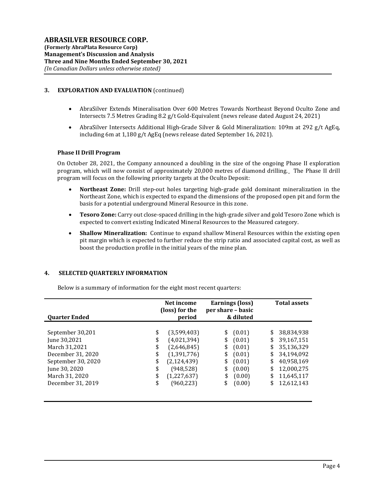# 3. EXPLORATION AND EVALUATION (continued)

- AbraSilver Extends Mineralisation Over 600 Metres Towards Northeast Beyond Oculto Zone and Intersects 7.5 Metres Grading 8.2 g/t Gold-Equivalent (news release dated August 24, 2021)
- AbraSilver Intersects Additional High-Grade Silver & Gold Mineralization: 109m at 292 g/t AgEq, including 6m at 1,180 g/t AgEq (news release dated September 16, 2021).

# Phase II Drill Program

On October 28, 2021, the Company announced a doubling in the size of the ongoing Phase II exploration program, which will now consist of approximately 20,000 metres of diamond drilling. The Phase II drill program will focus on the following priority targets at the Oculto Deposit:

- Northeast Zone: Drill step-out holes targeting high-grade gold dominant mineralization in the Northeast Zone, which is expected to expand the dimensions of the proposed open pit and form the basis for a potential underground Mineral Resource in this zone.
- Tesoro Zone: Carry out close-spaced drilling in the high-grade silver and gold Tesoro Zone which is expected to convert existing Indicated Mineral Resources to the Measured category.
- Shallow Mineralization: Continue to expand shallow Mineral Resources within the existing open pit margin which is expected to further reduce the strip ratio and associated capital cost, as well as boost the production profile in the initial years of the mine plan.

# 4. SELECTED QUARTERLY INFORMATION

Below is a summary of information for the eight most recent quarters:

| <b>Ouarter Ended</b>                                                                                                                                 | Net income<br>(loss) for the<br>period       |                                                                                                                      | Earnings (loss)<br>per share – basic<br>& diluted |                                                                              | <b>Total assets</b>                          |                                                                                                              |
|------------------------------------------------------------------------------------------------------------------------------------------------------|----------------------------------------------|----------------------------------------------------------------------------------------------------------------------|---------------------------------------------------|------------------------------------------------------------------------------|----------------------------------------------|--------------------------------------------------------------------------------------------------------------|
| September 30,201<br>June 30,2021<br>March 31,2021<br>December 31, 2020<br>September 30, 2020<br>June 30, 2020<br>March 31, 2020<br>December 31, 2019 | \$<br>\$<br>\$<br>\$<br>\$<br>\$<br>\$<br>\$ | (3,599,403)<br>(4,021,394)<br>(2,646,845)<br>(1,391,776)<br>(2, 124, 439)<br>(948, 528)<br>(1,227,637)<br>(960, 223) | \$<br>\$<br>\$<br>\$<br>\$<br>\$<br>\$            | (0.01)<br>(0.01)<br>(0.01)<br>(0.01)<br>(0.01)<br>(0.00)<br>(0.00)<br>(0.00) | \$<br>\$<br>\$<br>\$<br>\$<br>\$<br>\$<br>\$ | 38,834,938<br>39,167,151<br>35,136,329<br>34,194,092<br>40,958,169<br>12,000,275<br>11,645,117<br>12,612,143 |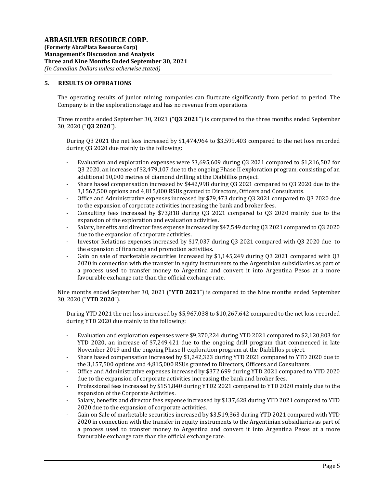# 5. RESULTS OF OPERATIONS

The operating results of junior mining companies can fluctuate significantly from period to period. The Company is in the exploration stage and has no revenue from operations.

Three months ended September 30, 2021 (" $\mathbf{03}$  2021") is compared to the three months ended September 30, 2020 ("Q3 2020").

During Q3 2021 the net loss increased by \$1,474,964 to \$3,599.403 compared to the net loss recorded during Q3 2020 due mainly to the following:

- Evaluation and exploration expenses were \$3,695,609 during Q3 2021 compared to \$1,216,502 for Q3 2020, an increase of \$2,479,107 due to the ongoing Phase II exploration program, consisting of an additional 10,000 metres of diamond drilling at the Diablillos project.
- Share based compensation increased by \$442,998 during Q3 2021 compared to Q3 2020 due to the 3,1567,500 options and 4,815,000 RSUs granted to Directors, Officers and Consultants.
- Office and Administrative expenses increased by \$79,473 during Q3 2021 compared to Q3 2020 due to the expansion of corporate activities increasing the bank and broker fees.
- Consulting fees increased by \$73,818 during Q3 2021 compared to Q3 2020 mainly due to the expansion of the exploration and evaluation activities.
- Salary, benefits and director fees expense increased by \$47,549 during Q3 2021 compared to Q3 2020 due to the expansion of corporate activities.
- Investor Relations expenses increased by \$17,037 during Q3 2021 compared with Q3 2020 due to the expansion of financing and promotion activities.
- Gain on sale of marketable securities increased by \$1,145,249 during Q3 2021 compared with Q3 2020 in connection with the transfer in equity instruments to the Argentinian subsidiaries as part of a process used to transfer money to Argentina and convert it into Argentina Pesos at a more favourable exchange rate than the official exchange rate.

Nine months ended September 30, 2021 ("YTD 2021") is compared to the Nine months ended September 30, 2020 ("YTD 2020").

During YTD 2021 the net loss increased by \$5,967,038 to \$10,267,642 compared to the net loss recorded during YTD 2020 due mainly to the following:

- Evaluation and exploration expenses were \$9,370,224 during YTD 2021 compared to \$2,120,803 for YTD 2020, an increase of \$7,249,421 due to the ongoing drill program that commenced in late November 2019 and the ongoing Phase II exploration program at the Diablillos project.
- Share based compensation increased by \$1,242,323 during YTD 2021 compared to YTD 2020 due to the 3,157,500 options and 4,815,000 RSUs granted to Directors, Officers and Consultants.
- Office and Administrative expenses increased by \$372,699 during YTD 2021 compared to YTD 2020 due to the expansion of corporate activities increasing the bank and broker fees.
- Professional fees increased by \$151,840 during YTD2 2021 compared to YTD 2020 mainly due to the expansion of the Corporate Activities.
- Salary, benefits and director fees expense increased by \$137,628 during YTD 2021 compared to YTD 2020 due to the expansion of corporate activities.
- Gain on Sale of marketable securities increased by \$3,519,363 during YTD 2021 compared with YTD 2020 in connection with the transfer in equity instruments to the Argentinian subsidiaries as part of a process used to transfer money to Argentina and convert it into Argentina Pesos at a more favourable exchange rate than the official exchange rate.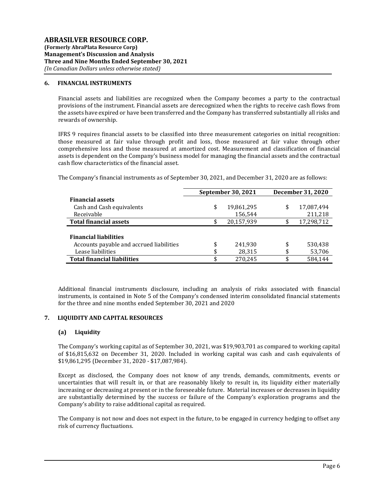### 6. FINANCIAL INSTRUMENTS

Financial assets and liabilities are recognized when the Company becomes a party to the contractual provisions of the instrument. Financial assets are derecognized when the rights to receive cash flows from the assets have expired or have been transferred and the Company has transferred substantially all risks and rewards of ownership.

IFRS 9 requires financial assets to be classified into three measurement categories on initial recognition: those measured at fair value through profit and loss, those measured at fair value through other comprehensive loss and those measured at amortized cost. Measurement and classification of financial assets is dependent on the Company's business model for managing the financial assets and the contractual cash flow characteristics of the financial asset.

The Company's financial instruments as of September 30, 2021, and December 31, 2020 are as follows:

|                                          | <b>September 30, 2021</b> | December 31, 2020 |            |  |
|------------------------------------------|---------------------------|-------------------|------------|--|
| <b>Financial assets</b>                  |                           |                   |            |  |
| Cash and Cash equivalents                | \$<br>19,861,295          | \$                | 17,087,494 |  |
| Receivable                               | 156,544                   |                   | 211,218    |  |
| <b>Total financial assets</b>            | \$<br>20,157,939          | \$                | 17,298,712 |  |
|                                          |                           |                   |            |  |
| <b>Financial liabilities</b>             |                           |                   |            |  |
| Accounts payable and accrued liabilities | \$<br>241,930             | \$                | 530,438    |  |
| Lease liabilities                        | \$<br>28,315              | \$                | 53,706     |  |
| <b>Total financial liabilities</b>       | \$<br>270.245             | \$                | 584.144    |  |

Additional financial instruments disclosure, including an analysis of risks associated with financial instruments, is contained in Note 5 of the Company's condensed interim consolidated financial statements for the three and nine months ended September 30, 2021 and 2020

# 7. LIQUIDITY AND CAPITAL RESOURCES

#### (a) Liquidity

The Company's working capital as of September 30, 2021, was \$19,903,701 as compared to working capital of \$16,815,632 on December 31, 2020. Included in working capital was cash and cash equivalents of \$19,861,295 (December 31, 2020 - \$17,087,984).

Except as disclosed, the Company does not know of any trends, demands, commitments, events or uncertainties that will result in, or that are reasonably likely to result in, its liquidity either materially increasing or decreasing at present or in the foreseeable future. Material increases or decreases in liquidity are substantially determined by the success or failure of the Company's exploration programs and the Company's ability to raise additional capital as required.

The Company is not now and does not expect in the future, to be engaged in currency hedging to offset any risk of currency fluctuations.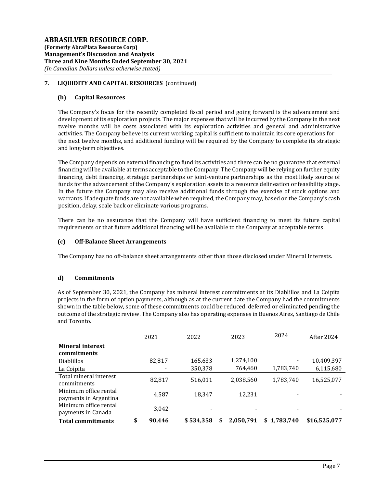# 7. LIQUIDITY AND CAPITAL RESOURCES (continued)

### (b) Capital Resources

The Company's focus for the recently completed fiscal period and going forward is the advancement and development of its exploration projects. The major expenses that will be incurred by the Company in the next twelve months will be costs associated with its exploration activities and general and administrative activities. The Company believe its current working capital is sufficient to maintain its core operations for the next twelve months, and additional funding will be required by the Company to complete its strategic and long-term objectives.

The Company depends on external financing to fund its activities and there can be no guarantee that external financing will be available at terms acceptable to the Company. The Company will be relying on further equity financing, debt financing, strategic partnerships or joint-venture partnerships as the most likely source of funds for the advancement of the Company's exploration assets to a resource delineation or feasibility stage. In the future the Company may also receive additional funds through the exercise of stock options and warrants. If adequate funds are not available when required, the Company may, based on the Company's cash position, delay, scale back or eliminate various programs.

There can be no assurance that the Company will have sufficient financing to meet its future capital requirements or that future additional financing will be available to the Company at acceptable terms.

### (c) Off-Balance Sheet Arrangements

The Company has no off-balance sheet arrangements other than those disclosed under Mineral Interests.

#### d) Commitments

As of September 30, 2021, the Company has mineral interest commitments at its Diablillos and La Coipita projects in the form of option payments, although as at the current date the Company had the commitments shown in the table below, some of these commitments could be reduced, deferred or eliminated pending the outcome of the strategic review. The Company also has operating expenses in Buenos Aires, Santiago de Chile and Toronto.

|                                                | 2021         | 2022      | 2023      | 2024        | After 2024   |
|------------------------------------------------|--------------|-----------|-----------|-------------|--------------|
| <b>Mineral interest</b><br>commitments         |              |           |           |             |              |
| <b>Diablillos</b>                              | 82,817       | 165,633   | 1,274,100 |             | 10,409,397   |
| La Coipita                                     | Ξ            | 350,378   | 764,460   | 1,783,740   | 6,115,680    |
| Total mineral interest<br>commitments          | 82,817       | 516,011   | 2,038,560 | 1,783,740   | 16,525,077   |
| Minimum office rental<br>payments in Argentina | 4,587        | 18,347    | 12,231    |             |              |
| Minimum office rental<br>payments in Canada    | 3,042        |           |           |             |              |
| <b>Total commitments</b>                       | \$<br>90,446 | \$534,358 | 2,050,791 | \$1,783,740 | \$16,525,077 |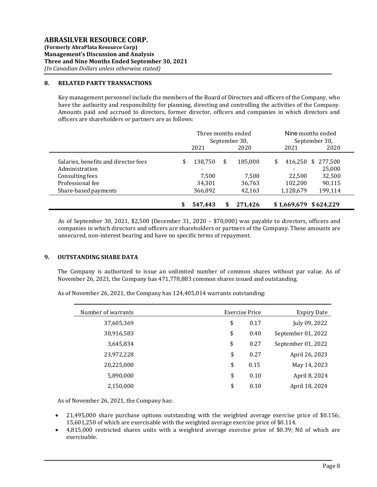### 8. RELATED PARTY TRANSACTIONS

Key management personnel include the members of the Board of Directors and officers of the Company, who have the authority and responsibility for planning, directing and controlling the activities of the Company. Amounts paid and accrued to directors, former director, officers and companies in which directors and officers are shareholders or partners are as follows:

|                                                                                                                       | Three months ended<br>September 30, |                                                                   |    |                                      | Nine months ended<br>September 30,                 |                                                  |  |
|-----------------------------------------------------------------------------------------------------------------------|-------------------------------------|-------------------------------------------------------------------|----|--------------------------------------|----------------------------------------------------|--------------------------------------------------|--|
|                                                                                                                       |                                     | 2021                                                              |    | 2020                                 | 2021                                               | 2020                                             |  |
| Salaries, benefits and director fees<br>Administration<br>Consulting fees<br>Professional fee<br>Share-based payments |                                     | 138,750<br>$\overline{\phantom{a}}$<br>7.500<br>34,301<br>366,892 | \$ | 185.000<br>7.500<br>36,763<br>42,163 | 416,250 \$<br>\$<br>22.500<br>102,200<br>1,128,679 | 277,500<br>25,000<br>32,500<br>90,115<br>199,114 |  |
|                                                                                                                       |                                     | 547.443                                                           |    | 271.426                              | $$1,669,679$ $$624,229$                            |                                                  |  |

As of September 30, 2021, \$2,500 (December 31, 2020 – \$70,000) was payable to directors, officers and companies in which directors and officers are shareholders or partners of the Company. These amounts are unsecured, non-interest bearing and have no specific terms of repayment.

# 9. OUTSTANDING SHARE DATA

The Company is authorized to issue an unlimited number of common shares without par value. As of November 26, 2021, the Company has 471,778,883 common shares issued and outstanding.

As of November 26, 2021, the Company has 124,405,014 warrants outstanding:

| Number of warrants | Exercise Price | <b>Expiry Date</b> |
|--------------------|----------------|--------------------|
| 37,605,369         | \$<br>0.17     | July 09, 2022      |
| 30,916,583         | \$<br>0.40     | September 01, 2022 |
| 3,645,834          | \$<br>0.27     | September 01, 2022 |
| 23,972,228         | \$<br>0.27     | April 26, 2023     |
| 20,225,000         | \$<br>0.15     | May 14, 2023       |
| 5,890,000          | \$<br>0.10     | April 8, 2024      |
| 2,150,000          | \$<br>0.10     | April 18, 2024     |

As of November 26, 2021, the Company has:

- 21,495,000 share purchase options outstanding with the weighted average exercise price of \$0.156; 15,601,250 of which are exercisable with the weighted average exercise price of \$0.114.
- 4,815,000 restricted shares units with a weighted average exercise price of \$0.39; Nil of which are exercisable.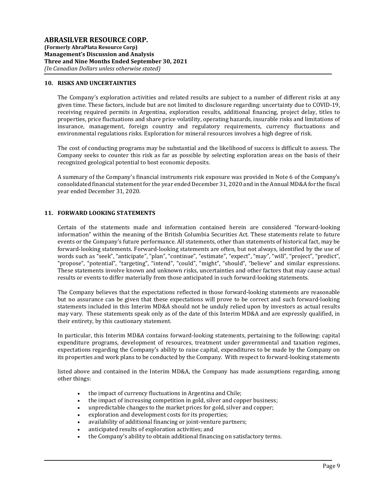#### 10. RISKS AND UNCERTAINTIES

The Company's exploration activities and related results are subject to a number of different risks at any given time. These factors, include but are not limited to disclosure regarding: uncertainty due to COVID-19, receiving required permits in Argentina, exploration results, additional financing, project delay, titles to properties, price fluctuations and share price volatility, operating hazards, insurable risks and limitations of insurance, management, foreign country and regulatory requirements, currency fluctuations and environmental regulations risks. Exploration for mineral resources involves a high degree of risk.

The cost of conducting programs may be substantial and the likelihood of success is difficult to assess. The Company seeks to counter this risk as far as possible by selecting exploration areas on the basis of their recognized geological potential to host economic deposits.

A summary of the Company's financial instruments risk exposure was provided in Note 6 of the Company's consolidated financial statement for the year ended December 31, 2020 and in the Annual MD&A for the fiscal year ended December 31, 2020.

# 11. FORWARD LOOKING STATEMENTS

Certain of the statements made and information contained herein are considered "forward-looking information" within the meaning of the British Columbia Securities Act. These statements relate to future events or the Company's future performance. All statements, other than statements of historical fact, may be forward-looking statements. Forward-looking statements are often, but not always, identified by the use of words such as "seek", "anticipate", "plan", "continue", "estimate", "expect", "may", "will", "project", "predict", "propose", "potential", "targeting", "intend", "could", "might", "should", "believe" and similar expressions. These statements involve known and unknown risks, uncertainties and other factors that may cause actual results or events to differ materially from those anticipated in such forward-looking statements.

The Company believes that the expectations reflected in those forward-looking statements are reasonable but no assurance can be given that these expectations will prove to be correct and such forward-looking statements included in this Interim MD&A should not be unduly relied upon by investors as actual results may vary. These statements speak only as of the date of this Interim MD&A and are expressly qualified, in their entirety, by this cautionary statement.

In particular, this Interim MD&A contains forward-looking statements, pertaining to the following: capital expenditure programs, development of resources, treatment under governmental and taxation regimes, expectations regarding the Company's ability to raise capital, expenditures to be made by the Company on its properties and work plans to be conducted by the Company. With respect to forward-looking statements

listed above and contained in the Interim MD&A, the Company has made assumptions regarding, among other things:

- the impact of currency fluctuations in Argentina and Chile;
- the impact of increasing competition in gold, silver and copper business;
- unpredictable changes to the market prices for gold, silver and copper;
- exploration and development costs for its properties;
- availability of additional financing or joint-venture partners;
- anticipated results of exploration activities; and
- the Company's ability to obtain additional financing on satisfactory terms.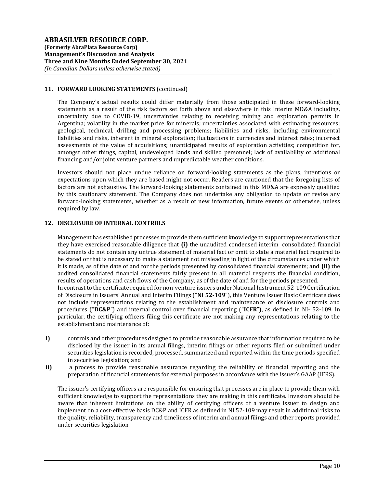# 11. FORWARD LOOKING STATEMENTS (continued)

The Company's actual results could differ materially from those anticipated in these forward-looking statements as a result of the risk factors set forth above and elsewhere in this Interim MD&A including, uncertainty due to COVID-19, uncertainties relating to receiving mining and exploration permits in Argentina; volatility in the market price for minerals; uncertainties associated with estimating resources; geological, technical, drilling and processing problems; liabilities and risks, including environmental liabilities and risks, inherent in mineral exploration; fluctuations in currencies and interest rates; incorrect assessments of the value of acquisitions; unanticipated results of exploration activities; competition for, amongst other things, capital, undeveloped lands and skilled personnel; lack of availability of additional financing and/or joint venture partners and unpredictable weather conditions.

Investors should not place undue reliance on forward-looking statements as the plans, intentions or expectations upon which they are based might not occur. Readers are cautioned that the foregoing lists of factors are not exhaustive. The forward-looking statements contained in this MD&A are expressly qualified by this cautionary statement. The Company does not undertake any obligation to update or revise any forward-looking statements, whether as a result of new information, future events or otherwise, unless required by law.

# 12. DISCLOSURE OF INTERNAL CONTROLS

Management has established processes to provide them sufficient knowledge to support representations that they have exercised reasonable diligence that  $(i)$  the unaudited condensed interim consolidated financial statements do not contain any untrue statement of material fact or omit to state a material fact required to be stated or that is necessary to make a statement not misleading in light of the circumstances under which it is made, as of the date of and for the periods presented by consolidated financial statements; and (ii) the audited consolidated financial statements fairly present in all material respects the financial condition, results of operations and cash flows of the Company, as of the date of and for the periods presented. In contrast to the certificate required for non-venture issuers under National Instrument 52-109 Certification of Disclosure in Issuers' Annual and Interim Filings ("NI 52-109"), this Venture Issuer Basic Certificate does not include representations relating to the establishment and maintenance of disclosure controls and procedures ("DC&P") and internal control over financial reporting ("ICFR"), as defined in NI- 52-109. In particular, the certifying officers filing this certificate are not making any representations relating to the establishment and maintenance of:

- i) controls and other procedures designed to provide reasonable assurance that information required to be disclosed by the issuer in its annual filings, interim filings or other reports filed or submitted under securities legislation is recorded, processed, summarized and reported within the time periods specified in securities legislation; and
- ii) a process to provide reasonable assurance regarding the reliability of financial reporting and the preparation of financial statements for external purposes in accordance with the issuer's GAAP (IFRS).

The issuer's certifying officers are responsible for ensuring that processes are in place to provide them with sufficient knowledge to support the representations they are making in this certificate. Investors should be aware that inherent limitations on the ability of certifying officers of a venture issuer to design and implement on a cost-effective basis DC&P and ICFR as defined in NI 52-109 may result in additional risks to the quality, reliability, transparency and timeliness of interim and annual filings and other reports provided under securities legislation.